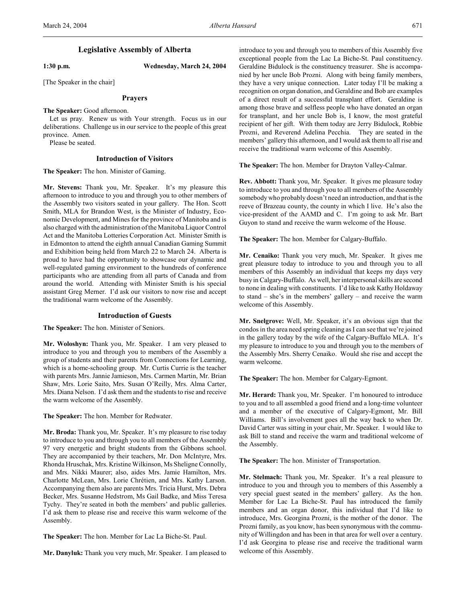## **Legislative Assembly of Alberta** Title: Wednesday, March 24, 2004 1:30 p.m.

**1:30 p.m. Wednesday, March 24, 2004**

[The Speaker in the chair]

## Prayers

**The Speaker:** Good afternoon.

Let us pray. Renew us with Your strength. Focus us in our deliberations. Challenge us in our service to the people of this great province. Amen.

Please be seated.

## **Introduction of Visitors**

**The Speaker:** The hon. Minister of Gaming.

**Mr. Stevens:** Thank you, Mr. Speaker. It's my pleasure this afternoon to introduce to you and through you to other members of the Assembly two visitors seated in your gallery. The Hon. Scott Smith, MLA for Brandon West, is the Minister of Industry, Economic Development, and Mines for the province of Manitoba and is also charged with the administration of the Manitoba Liquor Control Act and the Manitoba Lotteries Corporation Act. Minister Smith is in Edmonton to attend the eighth annual Canadian Gaming Summit and Exhibition being held from March 22 to March 24. Alberta is proud to have had the opportunity to showcase our dynamic and well-regulated gaming environment to the hundreds of conference participants who are attending from all parts of Canada and from around the world. Attending with Minister Smith is his special assistant Greg Merner. I'd ask our visitors to now rise and accept the traditional warm welcome of the Assembly.

### **Introduction of Guests**

**The Speaker:** The hon. Minister of Seniors.

**Mr. Woloshyn:** Thank you, Mr. Speaker. I am very pleased to introduce to you and through you to members of the Assembly a group of students and their parents from Connections for Learning, which is a home-schooling group. Mr. Curtis Currie is the teacher with parents Mrs. Jannie Jamieson, Mrs. Carmen Martin, Mr. Brian Shaw, Mrs. Lorie Saito, Mrs. Susan O'Reilly, Mrs. Alma Carter, Mrs. Diana Nelson. I'd ask them and the students to rise and receive the warm welcome of the Assembly.

**The Speaker:** The hon. Member for Redwater.

**Mr. Broda:** Thank you, Mr. Speaker. It's my pleasure to rise today to introduce to you and through you to all members of the Assembly 97 very energetic and bright students from the Gibbons school. They are accompanied by their teachers, Mr. Don McIntyre, Mrs. Rhonda Hruschak, Mrs. Kristine Wilkinson, Ms Sheligne Connolly, and Mrs. Nikki Maurer; also, aides Mrs. Jamie Hamilton, Mrs. Charlotte McLean, Mrs. Lorie Chrétien, and Mrs. Kathy Larson. Accompanying them also are parents Mrs. Tricia Hurst, Mrs. Debra Becker, Mrs. Susanne Hedstrom, Ms Gail Badke, and Miss Teresa Tychy. They're seated in both the members' and public galleries. I'd ask them to please rise and receive this warm welcome of the Assembly.

**The Speaker:** The hon. Member for Lac La Biche-St. Paul.

**Mr. Danyluk:** Thank you very much, Mr. Speaker. I am pleased to

introduce to you and through you to members of this Assembly five exceptional people from the Lac La Biche-St. Paul constituency. Geraldine Bidulock is the constituency treasurer. She is accompanied by her uncle Bob Prozni. Along with being family members, they have a very unique connection. Later today I'll be making a recognition on organ donation, and Geraldine and Bob are examples of a direct result of a successful transplant effort. Geraldine is among those brave and selfless people who have donated an organ for transplant, and her uncle Bob is, I know, the most grateful recipient of her gift. With them today are Jerry Bidulock, Robbie Prozni, and Reverend Adelina Pecchia. They are seated in the members' gallery this afternoon, and I would ask them to all rise and receive the traditional warm welcome of this Assembly.

**The Speaker:** The hon. Member for Drayton Valley-Calmar.

**Rev. Abbott:** Thank you, Mr. Speaker. It gives me pleasure today to introduce to you and through you to all members of the Assembly somebody who probably doesn't need an introduction, and that is the reeve of Brazeau county, the county in which I live. He's also the vice-president of the AAMD and C. I'm going to ask Mr. Bart Guyon to stand and receive the warm welcome of the House.

**The Speaker:** The hon. Member for Calgary-Buffalo.

**Mr. Cenaiko:** Thank you very much, Mr. Speaker. It gives me great pleasure today to introduce to you and through you to all members of this Assembly an individual that keeps my days very busy in Calgary-Buffalo. As well, her interpersonal skills are second to none in dealing with constituents. I'd like to ask Kathy Holdaway to stand – she's in the members' gallery – and receive the warm welcome of this Assembly.

**Mr. Snelgrove:** Well, Mr. Speaker, it's an obvious sign that the condos in the area need spring cleaning as I can see that we're joined in the gallery today by the wife of the Calgary-Buffalo MLA. It's my pleasure to introduce to you and through you to the members of the Assembly Mrs. Sherry Cenaiko. Would she rise and accept the warm welcome.

**The Speaker:** The hon. Member for Calgary-Egmont.

**Mr. Herard:** Thank you, Mr. Speaker. I'm honoured to introduce to you and to all assembled a good friend and a long-time volunteer and a member of the executive of Calgary-Egmont, Mr. Bill Williams. Bill's involvement goes all the way back to when Dr. David Carter was sitting in your chair, Mr. Speaker. I would like to ask Bill to stand and receive the warm and traditional welcome of the Assembly.

**The Speaker:** The hon. Minister of Transportation.

**Mr. Stelmach:** Thank you, Mr. Speaker. It's a real pleasure to introduce to you and through you to members of this Assembly a very special guest seated in the members' gallery. As the hon. Member for Lac La Biche-St. Paul has introduced the family members and an organ donor, this individual that I'd like to introduce, Mrs. Georgina Prozni, is the mother of the donor. The Prozni family, as you know, has been synonymous with the community of Willingdon and has been in that area for well over a century. I'd ask Georgina to please rise and receive the traditional warm welcome of this Assembly.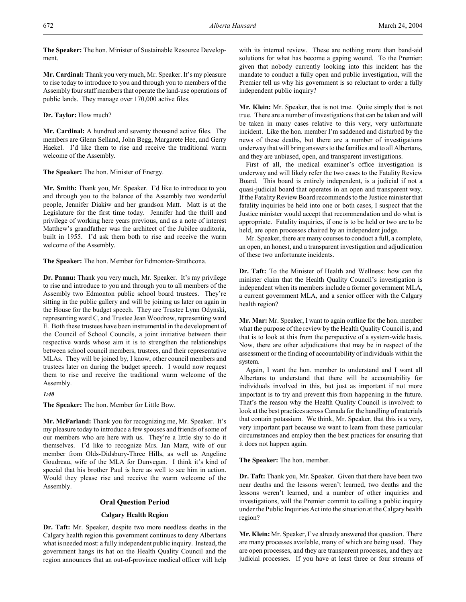**The Speaker:** The hon. Minister of Sustainable Resource Development.

**Mr. Cardinal:** Thank you very much, Mr. Speaker. It's my pleasure to rise today to introduce to you and through you to members of the Assembly four staff members that operate the land-use operations of public lands. They manage over 170,000 active files.

## **Dr. Taylor:** How much?

**Mr. Cardinal:** A hundred and seventy thousand active files. The members are Glenn Selland, John Begg, Margarete Hee, and Gerry Haekel. I'd like them to rise and receive the traditional warm welcome of the Assembly.

## **The Speaker:** The hon. Minister of Energy.

**Mr. Smith:** Thank you, Mr. Speaker. I'd like to introduce to you and through you to the balance of the Assembly two wonderful people, Jennifer Diakiw and her grandson Matt. Matt is at the Legislature for the first time today. Jennifer had the thrill and privilege of working here years previous, and as a note of interest Matthew's grandfather was the architect of the Jubilee auditoria, built in 1955. I'd ask them both to rise and receive the warm welcome of the Assembly.

**The Speaker:** The hon. Member for Edmonton-Strathcona.

**Dr. Pannu:** Thank you very much, Mr. Speaker. It's my privilege to rise and introduce to you and through you to all members of the Assembly two Edmonton public school board trustees. They're sitting in the public gallery and will be joining us later on again in the House for the budget speech. They are Trustee Lynn Odynski, representing ward C, and Trustee Jean Woodrow, representing ward E. Both these trustees have been instrumental in the development of the Council of School Councils, a joint initiative between their respective wards whose aim it is to strengthen the relationships between school council members, trustees, and their representative MLAs. They will be joined by, I know, other council members and trustees later on during the budget speech. I would now request them to rise and receive the traditional warm welcome of the Assembly.

## *1:40*

**The Speaker:** The hon. Member for Little Bow.

**Mr. McFarland:** Thank you for recognizing me, Mr. Speaker. It's my pleasure today to introduce a few spouses and friends of some of our members who are here with us. They're a little shy to do it themselves. I'd like to recognize Mrs. Jan Marz, wife of our member from Olds-Didsbury-Three Hills, as well as Angeline Goudreau, wife of the MLA for Dunvegan. I think it's kind of special that his brother Paul is here as well to see him in action. Would they please rise and receive the warm welcome of the Assembly.

## **Oral Ouestion Period**

### **Calgary Health Region**

**Dr. Taft:** Mr. Speaker, despite two more needless deaths in the Calgary health region this government continues to deny Albertans what is needed most: a fully independent public inquiry. Instead, the government hangs its hat on the Health Quality Council and the region announces that an out-of-province medical officer will help

with its internal review. These are nothing more than band-aid solutions for what has become a gaping wound. To the Premier: given that nobody currently looking into this incident has the mandate to conduct a fully open and public investigation, will the Premier tell us why his government is so reluctant to order a fully independent public inquiry?

**Mr. Klein:** Mr. Speaker, that is not true. Quite simply that is not true. There are a number of investigations that can be taken and will be taken in many cases relative to this very, very unfortunate incident. Like the hon. member I'm saddened and disturbed by the news of these deaths, but there are a number of investigations underway that will bring answers to the families and to all Albertans, and they are unbiased, open, and transparent investigations.

First of all, the medical examiner's office investigation is underway and will likely refer the two cases to the Fatality Review Board. This board is entirely independent, is a judicial if not a quasi-judicial board that operates in an open and transparent way. If the Fatality Review Board recommends to the Justice minister that fatality inquiries be held into one or both cases, I suspect that the Justice minister would accept that recommendation and do what is appropriate. Fatality inquiries, if one is to be held or two are to be held, are open processes chaired by an independent judge.

Mr. Speaker, there are many courses to conduct a full, a complete, an open, an honest, and a transparent investigation and adjudication of these two unfortunate incidents.

**Dr. Taft:** To the Minister of Health and Wellness: how can the minister claim that the Health Quality Council's investigation is independent when its members include a former government MLA, a current government MLA, and a senior officer with the Calgary health region?

**Mr. Mar:** Mr. Speaker, I want to again outline for the hon. member what the purpose of the review by the Health Quality Council is, and that is to look at this from the perspective of a system-wide basis. Now, there are other adjudications that may be in respect of the assessment or the finding of accountability of individuals within the system.

Again, I want the hon. member to understand and I want all Albertans to understand that there will be accountability for individuals involved in this, but just as important if not more important is to try and prevent this from happening in the future. That's the reason why the Health Quality Council is involved: to look at the best practices across Canada for the handling of materials that contain potassium. We think, Mr. Speaker, that this is a very, very important part because we want to learn from these particular circumstances and employ then the best practices for ensuring that it does not happen again.

### **The Speaker:** The hon. member.

**Dr. Taft:** Thank you, Mr. Speaker. Given that there have been two near deaths and the lessons weren't learned, two deaths and the lessons weren't learned, and a number of other inquiries and investigations, will the Premier commit to calling a public inquiry under the Public Inquiries Act into the situation at the Calgary health region?

**Mr. Klein:** Mr. Speaker, I've already answered that question. There are many processes available, many of which are being used. They are open processes, and they are transparent processes, and they are judicial processes. If you have at least three or four streams of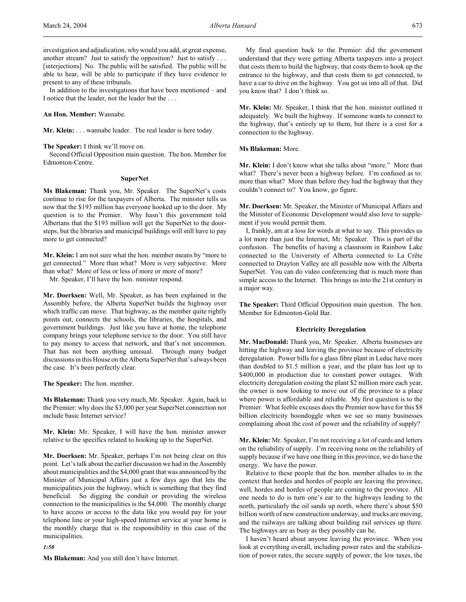investigation and adjudication, why would you add, at great expense, another stream? Just to satisfy the opposition? Just to satisfy . . . [interjections] No. The public will be satisfied. The public will be able to hear, will be able to participate if they have evidence to present to any of these tribunals.

In addition to the investigations that have been mentioned – and I notice that the leader, not the leader but the . . .

### **An Hon. Member:** Wannabe.

**Mr. Klein:** . . . wannabe leader. The real leader is here today.

**The Speaker:** I think we'll move on.

Second Official Opposition main question. The hon. Member for Edmonton-Centre.

### **SuperNet**

**Ms Blakeman:** Thank you, Mr. Speaker. The SuperNet's costs continue to rise for the taxpayers of Alberta. The minister tells us now that the \$193 million has everyone hooked up to the door. My question is to the Premier. Why hasn't this government told Albertans that the \$193 million will get the SuperNet to the doorsteps, but the libraries and municipal buildings will still have to pay more to get connected?

**Mr. Klein:** I am not sure what the hon. member means by "more to get connected." More than what? More is very subjective. More than what? More of less or less of more or more of more?

Mr. Speaker, I'll have the hon. minister respond.

**Mr. Doerksen:** Well, Mr. Speaker, as has been explained in the Assembly before, the Alberta SuperNet builds the highway over which traffic can move. That highway, as the member quite rightly points out, connects the schools, the libraries, the hospitals, and government buildings. Just like you have at home, the telephone company brings your telephone service to the door. You still have to pay money to access that network, and that's not uncommon. That has not been anything unusual. Through many budget discussions in this House on the Alberta SuperNet that's always been the case. It's been perfectly clear.

**The Speaker:** The hon. member.

**Ms Blakeman:** Thank you very much, Mr. Speaker. Again, back to the Premier: why does the \$3,000 per year SuperNet connection not include basic Internet service?

**Mr. Klein:** Mr. Speaker, I will have the hon. minister answer relative to the specifics related to hooking up to the SuperNet.

**Mr. Doerksen:** Mr. Speaker, perhaps I'm not being clear on this point. Let's talk about the earlier discussion we had in the Assembly about municipalities and the \$4,000 grant that was announced by the Minister of Municipal Affairs just a few days ago that lets the municipalities join the highway, which is something that they find beneficial. So digging the conduit or providing the wireless connection to the municipalities is the \$4,000. The monthly charge to have access or access to the data like you would pay for your telephone line or your high-speed Internet service at your home is the monthly charge that is the responsibility in this case of the municipalities.

*1:50*

**Ms Blakeman:** And you still don't have Internet.

My final question back to the Premier: did the government understand that they were getting Alberta taxpayers into a project that costs them to build the highway, that costs them to hook up the entrance to the highway, and that costs them to get connected, to have a car to drive on the highway. You got us into all of that. Did you know that? I don't think so.

**Mr. Klein:** Mr. Speaker, I think that the hon. minister outlined it adequately. We built the highway. If someone wants to connect to the highway, that's entirely up to them, but there is a cost for a connection to the highway.

## **Ms Blakeman:** More.

**Mr. Klein:** I don't know what she talks about "more." More than what? There's never been a highway before. I'm confused as to: more than what? More than before they had the highway that they couldn't connect to? You know, go figure.

**Mr. Doerksen:** Mr. Speaker, the Minister of Municipal Affairs and the Minister of Economic Development would also love to supplement if you would permit them.

I, frankly, am at a loss for words at what to say. This provides us a lot more than just the Internet, Mr. Speaker. This is part of the confusion. The benefits of having a classroom in Rainbow Lake connected to the University of Alberta connected to La Crête connected to Drayton Valley are all possible now with the Alberta SuperNet. You can do video conferencing that is much more than simple access to the Internet. This brings us into the 21st century in a major way.

**The Speaker:** Third Official Opposition main question. The hon. Member for Edmonton-Gold Bar.

## **Electricity Deregulation**

**Mr. MacDonald:** Thank you, Mr. Speaker. Alberta businesses are hitting the highway and leaving the province because of electricity deregulation. Power bills for a glass fibre plant in Leduc have more than doubled to \$1.5 million a year, and the plant has lost up to \$400,000 in production due to constant power outages. With electricity deregulation costing the plant \$2 million more each year, the owner is now looking to move out of the province to a place where power is affordable and reliable. My first question is to the Premier. What feeble excuses does the Premier now have for this \$8 billion electricity boondoggle when we see so many businesses complaining about the cost of power and the reliability of supply?

**Mr. Klein:** Mr. Speaker, I'm not receiving a lot of cards and letters on the reliability of supply. I'm receiving none on the reliability of supply because if we have one thing in this province, we do have the energy. We have the power.

Relative to these people that the hon. member alludes to in the context that hordes and hordes of people are leaving the province, well, hordes and hordes of people are coming to the province. All one needs to do is turn one's ear to the highways leading to the north, particularly the oil sands up north, where there's about \$50 billion worth of new construction underway, and trucks are moving, and the railways are talking about building rail services up there. The highways are as busy as they possibly can be.

I haven't heard about anyone leaving the province. When you look at everything overall, including power rates and the stabilization of power rates, the secure supply of power, the low taxes, the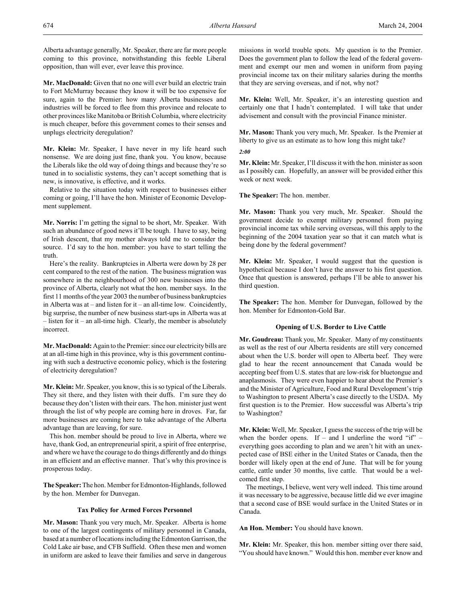Alberta advantage generally, Mr. Speaker, there are far more people coming to this province, notwithstanding this feeble Liberal opposition, than will ever, ever leave this province.

**Mr. MacDonald:** Given that no one will ever build an electric train to Fort McMurray because they know it will be too expensive for sure, again to the Premier: how many Alberta businesses and industries will be forced to flee from this province and relocate to other provinces like Manitoba or British Columbia, where electricity is much cheaper, before this government comes to their senses and unplugs electricity deregulation?

**Mr. Klein:** Mr. Speaker, I have never in my life heard such nonsense. We are doing just fine, thank you. You know, because the Liberals like the old way of doing things and because they're so tuned in to socialistic systems, they can't accept something that is new, is innovative, is effective, and it works.

Relative to the situation today with respect to businesses either coming or going, I'll have the hon. Minister of Economic Development supplement.

**Mr. Norris:** I'm getting the signal to be short, Mr. Speaker. With such an abundance of good news it'll be tough. I have to say, being of Irish descent, that my mother always told me to consider the source. I'd say to the hon. member: you have to start telling the truth.

Here's the reality. Bankruptcies in Alberta were down by 28 per cent compared to the rest of the nation. The business migration was somewhere in the neighbourhood of 300 new businesses into the province of Alberta, clearly not what the hon. member says. In the first 11 months of the year 2003 the number of business bankruptcies in Alberta was at – and listen for it – an all-time low. Coincidently, big surprise, the number of new business start-ups in Alberta was at – listen for it – an all-time high. Clearly, the member is absolutely incorrect.

**Mr. MacDonald:** Again to the Premier: since our electricity bills are at an all-time high in this province, why is this government continuing with such a destructive economic policy, which is the fostering of electricity deregulation?

**Mr. Klein:** Mr. Speaker, you know, this is so typical of the Liberals. They sit there, and they listen with their duffs. I'm sure they do because they don't listen with their ears. The hon. minister just went through the list of why people are coming here in droves. Far, far more businesses are coming here to take advantage of the Alberta advantage than are leaving, for sure.

This hon. member should be proud to live in Alberta, where we have, thank God, an entrepreneurial spirit, a spirit of free enterprise, and where we have the courage to do things differently and do things in an efficient and an effective manner. That's why this province is prosperous today.

**The Speaker:** The hon. Member for Edmonton-Highlands, followed by the hon. Member for Dunvegan.

## **Tax Policy for Armed Forces Personnel**

**Mr. Mason:** Thank you very much, Mr. Speaker. Alberta is home to one of the largest contingents of military personnel in Canada, based at a number of locations including the Edmonton Garrison, the Cold Lake air base, and CFB Suffield. Often these men and women in uniform are asked to leave their families and serve in dangerous

missions in world trouble spots. My question is to the Premier. Does the government plan to follow the lead of the federal government and exempt our men and women in uniform from paying provincial income tax on their military salaries during the months that they are serving overseas, and if not, why not?

**Mr. Klein:** Well, Mr. Speaker, it's an interesting question and certainly one that I hadn't contemplated. I will take that under advisement and consult with the provincial Finance minister.

**Mr. Mason:** Thank you very much, Mr. Speaker. Is the Premier at liberty to give us an estimate as to how long this might take?

*2:00*

**Mr. Klein:** Mr. Speaker, I'll discuss it with the hon. minister as soon as I possibly can. Hopefully, an answer will be provided either this week or next week.

**The Speaker:** The hon. member.

**Mr. Mason:** Thank you very much, Mr. Speaker. Should the government decide to exempt military personnel from paying provincial income tax while serving overseas, will this apply to the beginning of the 2004 taxation year so that it can match what is being done by the federal government?

**Mr. Klein:** Mr. Speaker, I would suggest that the question is hypothetical because I don't have the answer to his first question. Once that question is answered, perhaps I'll be able to answer his third question.

**The Speaker:** The hon. Member for Dunvegan, followed by the hon. Member for Edmonton-Gold Bar.

### **Opening of U.S. Border to Live Cattle**

**Mr. Goudreau:** Thank you, Mr. Speaker. Many of my constituents as well as the rest of our Alberta residents are still very concerned about when the U.S. border will open to Alberta beef. They were glad to hear the recent announcement that Canada would be accepting beef from U.S. states that are low-risk for bluetongue and anaplasmosis. They were even happier to hear about the Premier's and the Minister of Agriculture, Food and Rural Development's trip to Washington to present Alberta's case directly to the USDA. My first question is to the Premier. How successful was Alberta's trip to Washington?

**Mr. Klein:** Well, Mr. Speaker, I guess the success of the trip will be when the border opens. If – and I underline the word " $if$ " – everything goes according to plan and we aren't hit with an unexpected case of BSE either in the United States or Canada, then the border will likely open at the end of June. That will be for young cattle, cattle under 30 months, live cattle. That would be a welcomed first step.

The meetings, I believe, went very well indeed. This time around it was necessary to be aggressive, because little did we ever imagine that a second case of BSE would surface in the United States or in Canada.

**An Hon. Member:** You should have known.

**Mr. Klein:** Mr. Speaker, this hon. member sitting over there said, "You should have known." Would this hon. member ever know and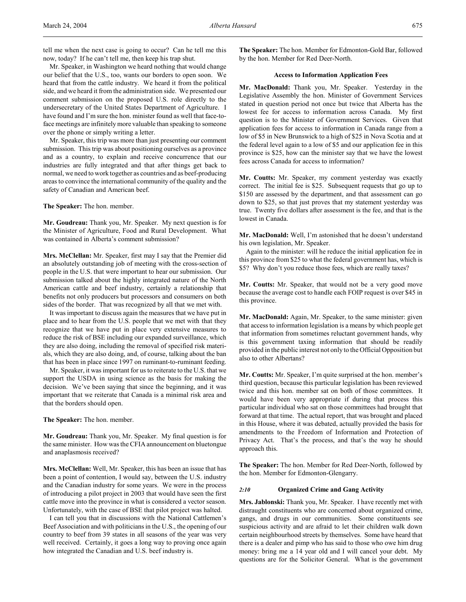tell me when the next case is going to occur? Can he tell me this now, today? If he can't tell me, then keep his trap shut.

Mr. Speaker, in Washington we heard nothing that would change our belief that the U.S., too, wants our borders to open soon. We heard that from the cattle industry. We heard it from the political side, and we heard it from the administration side. We presented our comment submission on the proposed U.S. role directly to the undersecretary of the United States Department of Agriculture. I have found and I'm sure the hon. minister found as well that face-toface meetings are infinitely more valuable than speaking to someone over the phone or simply writing a letter.

Mr. Speaker, this trip was more than just presenting our comment submission. This trip was about positioning ourselves as a province and as a country, to explain and receive concurrence that our industries are fully integrated and that after things get back to normal, we need to work together as countries and as beef-producing areas to convince the international community of the quality and the safety of Canadian and American beef.

**The Speaker:** The hon. member.

**Mr. Goudreau:** Thank you, Mr. Speaker. My next question is for the Minister of Agriculture, Food and Rural Development. What was contained in Alberta's comment submission?

**Mrs. McClellan:** Mr. Speaker, first may I say that the Premier did an absolutely outstanding job of meeting with the cross-section of people in the U.S. that were important to hear our submission. Our submission talked about the highly integrated nature of the North American cattle and beef industry, certainly a relationship that benefits not only producers but processors and consumers on both sides of the border. That was recognized by all that we met with.

It was important to discuss again the measures that we have put in place and to hear from the U.S. people that we met with that they recognize that we have put in place very extensive measures to reduce the risk of BSE including our expanded surveillance, which they are also doing, including the removal of specified risk materials, which they are also doing, and, of course, talking about the ban that has been in place since 1997 on ruminant-to-ruminant feeding.

Mr. Speaker, it was important for us to reiterate to the U.S. that we support the USDA in using science as the basis for making the decision. We've been saying that since the beginning, and it was important that we reiterate that Canada is a minimal risk area and that the borders should open.

**The Speaker:** The hon. member.

**Mr. Goudreau:** Thank you, Mr. Speaker. My final question is for the same minister. How was the CFIA announcement on bluetongue and anaplasmosis received?

**Mrs. McClellan:** Well, Mr. Speaker, this has been an issue that has been a point of contention, I would say, between the U.S. industry and the Canadian industry for some years. We were in the process of introducing a pilot project in 2003 that would have seen the first cattle move into the province in what is considered a vector season. Unfortunately, with the case of BSE that pilot project was halted.

I can tell you that in discussions with the National Cattlemen's Beef Association and with politicians in the U.S., the opening of our country to beef from 39 states in all seasons of the year was very well received. Certainly, it goes a long way to proving once again how integrated the Canadian and U.S. beef industry is.

**The Speaker:** The hon. Member for Edmonton-Gold Bar, followed by the hon. Member for Red Deer-North.

### **Access to Information Application Fees**

**Mr. MacDonald:** Thank you, Mr. Speaker. Yesterday in the Legislative Assembly the hon. Minister of Government Services stated in question period not once but twice that Alberta has the lowest fee for access to information across Canada. My first question is to the Minister of Government Services. Given that application fees for access to information in Canada range from a low of \$5 in New Brunswick to a high of \$25 in Nova Scotia and at the federal level again to a low of \$5 and our application fee in this province is \$25, how can the minister say that we have the lowest fees across Canada for access to information?

**Mr. Coutts:** Mr. Speaker, my comment yesterday was exactly correct. The initial fee is \$25. Subsequent requests that go up to \$150 are assessed by the department, and that assessment can go down to \$25, so that just proves that my statement yesterday was true. Twenty five dollars after assessment is the fee, and that is the lowest in Canada.

**Mr. MacDonald:** Well, I'm astonished that he doesn't understand his own legislation, Mr. Speaker.

Again to the minister: will he reduce the initial application fee in this province from \$25 to what the federal government has, which is \$5? Why don't you reduce those fees, which are really taxes?

**Mr. Coutts:** Mr. Speaker, that would not be a very good move because the average cost to handle each FOIP request is over \$45 in this province.

**Mr. MacDonald:** Again, Mr. Speaker, to the same minister: given that access to information legislation is a means by which people get that information from sometimes reluctant government hands, why is this government taxing information that should be readily provided in the public interest not only to the Official Opposition but also to other Albertans?

**Mr. Coutts:** Mr. Speaker, I'm quite surprised at the hon. member's third question, because this particular legislation has been reviewed twice and this hon. member sat on both of those committees. It would have been very appropriate if during that process this particular individual who sat on those committees had brought that forward at that time. The actual report, that was brought and placed in this House, where it was debated, actually provided the basis for amendments to the Freedom of Information and Protection of Privacy Act. That's the process, and that's the way he should approach this.

**The Speaker:** The hon. Member for Red Deer-North, followed by the hon. Member for Edmonton-Glengarry.

### *2:10* **Organized Crime and Gang Activity**

**Mrs. Jablonski:** Thank you, Mr. Speaker. I have recently met with distraught constituents who are concerned about organized crime, gangs, and drugs in our communities. Some constituents see suspicious activity and are afraid to let their children walk down certain neighbourhood streets by themselves. Some have heard that there is a dealer and pimp who has said to those who owe him drug money: bring me a 14 year old and I will cancel your debt. My questions are for the Solicitor General. What is the government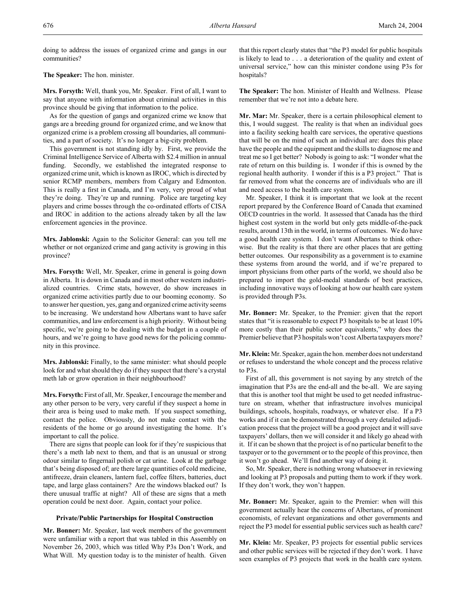doing to address the issues of organized crime and gangs in our communities?

## **The Speaker:** The hon. minister.

**Mrs. Forsyth:** Well, thank you, Mr. Speaker. First of all, I want to say that anyone with information about criminal activities in this province should be giving that information to the police.

As for the question of gangs and organized crime we know that gangs are a breeding ground for organized crime, and we know that organized crime is a problem crossing all boundaries, all communities, and a part of society. It's no longer a big-city problem.

This government is not standing idly by. First, we provide the Criminal Intelligence Service of Alberta with \$2.4 million in annual funding. Secondly, we established the integrated response to organized crime unit, which is known as IROC, which is directed by senior RCMP members, members from Calgary and Edmonton. This is really a first in Canada, and I'm very, very proud of what they're doing. They're up and running. Police are targeting key players and crime bosses through the co-ordinated efforts of CISA and IROC in addition to the actions already taken by all the law enforcement agencies in the province.

**Mrs. Jablonski:** Again to the Solicitor General: can you tell me whether or not organized crime and gang activity is growing in this province?

**Mrs. Forsyth:** Well, Mr. Speaker, crime in general is going down in Alberta. It is down in Canada and in most other western industrialized countries. Crime stats, however, do show increases in organized crime activities partly due to our booming economy. So to answer her question, yes, gang and organized crime activity seems to be increasing. We understand how Albertans want to have safer communities, and law enforcement is a high priority. Without being specific, we're going to be dealing with the budget in a couple of hours, and we're going to have good news for the policing community in this province.

**Mrs. Jablonski:** Finally, to the same minister: what should people look for and what should they do if they suspect that there's a crystal meth lab or grow operation in their neighbourhood?

**Mrs. Forsyth:** First of all, Mr. Speaker, I encourage the member and any other person to be very, very careful if they suspect a home in their area is being used to make meth. If you suspect something, contact the police. Obviously, do not make contact with the residents of the home or go around investigating the home. It's important to call the police.

There are signs that people can look for if they're suspicious that there's a meth lab next to them, and that is an unusual or strong odour similar to fingernail polish or cat urine. Look at the garbage that's being disposed of; are there large quantities of cold medicine, antifreeze, drain cleaners, lantern fuel, coffee filters, batteries, duct tape, and large glass containers? Are the windows blacked out? Is there unusual traffic at night? All of these are signs that a meth operation could be next door. Again, contact your police.

### **Private/Public Partnerships for Hospital Construction**

**Mr. Bonner:** Mr. Speaker, last week members of the government were unfamiliar with a report that was tabled in this Assembly on November 26, 2003, which was titled Why P3s Don't Work, and What Will. My question today is to the minister of health. Given

that this report clearly states that "the P3 model for public hospitals is likely to lead to . . . a deterioration of the quality and extent of universal service," how can this minister condone using P3s for hospitals?

**The Speaker:** The hon. Minister of Health and Wellness. Please remember that we're not into a debate here.

**Mr. Mar:** Mr. Speaker, there is a certain philosophical element to this, I would suggest. The reality is that when an individual goes into a facility seeking health care services, the operative questions that will be on the mind of such an individual are: does this place have the people and the equipment and the skills to diagnose me and treat me so I get better? Nobody is going to ask: "I wonder what the rate of return on this building is. I wonder if this is owned by the regional health authority. I wonder if this is a P3 project." That is far removed from what the concerns are of individuals who are ill and need access to the health care system.

Mr. Speaker, I think it is important that we look at the recent report prepared by the Conference Board of Canada that examined OECD countries in the world. It assessed that Canada has the third highest cost system in the world but only gets middle-of-the-pack results, around 13th in the world, in terms of outcomes. We do have a good health care system. I don't want Albertans to think otherwise. But the reality is that there are other places that are getting better outcomes. Our responsibility as a government is to examine these systems from around the world, and if we're prepared to import physicians from other parts of the world, we should also be prepared to import the gold-medal standards of best practices, including innovative ways of looking at how our health care system is provided through P3s.

**Mr. Bonner:** Mr. Speaker, to the Premier: given that the report states that "it is reasonable to expect P3 hospitals to be at least 10% more costly than their public sector equivalents," why does the Premier believe that P3 hospitals won't cost Alberta taxpayers more?

**Mr. Klein:** Mr. Speaker, again the hon. member does not understand or refuses to understand the whole concept and the process relative to P3s.

First of all, this government is not saying by any stretch of the imagination that P3s are the end-all and the be-all. We are saying that this is another tool that might be used to get needed infrastructure on stream, whether that infrastructure involves municipal buildings, schools, hospitals, roadways, or whatever else. If a P3 works and if it can be demonstrated through a very detailed adjudication process that the project will be a good project and it will save taxpayers' dollars, then we will consider it and likely go ahead with it. If it can be shown that the project is of no particular benefit to the taxpayer or to the government or to the people of this province, then it won't go ahead. We'll find another way of doing it.

So, Mr. Speaker, there is nothing wrong whatsoever in reviewing and looking at P3 proposals and putting them to work if they work. If they don't work, they won't happen.

**Mr. Bonner:** Mr. Speaker, again to the Premier: when will this government actually hear the concerns of Albertans, of prominent economists, of relevant organizations and other governments and reject the P3 model for essential public services such as health care?

**Mr. Klein:** Mr. Speaker, P3 projects for essential public services and other public services will be rejected if they don't work. I have seen examples of P3 projects that work in the health care system.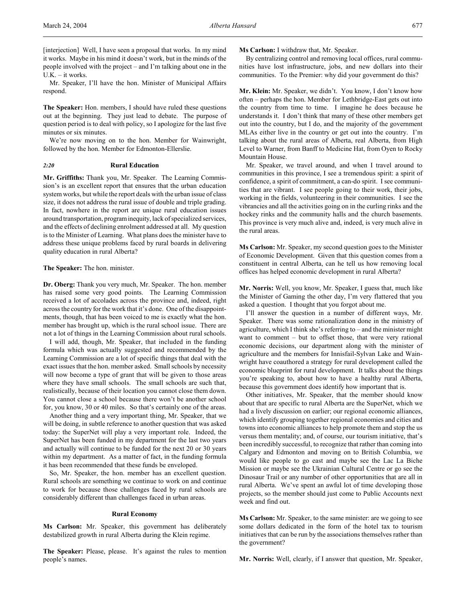[interjection] Well, I have seen a proposal that works. In my mind it works. Maybe in his mind it doesn't work, but in the minds of the people involved with the project – and I'm talking about one in the U.K. – it works.

Mr. Speaker, I'll have the hon. Minister of Municipal Affairs respond.

**The Speaker:** Hon. members, I should have ruled these questions out at the beginning. They just lead to debate. The purpose of question period is to deal with policy, so I apologize for the last five minutes or six minutes.

We're now moving on to the hon. Member for Wainwright, followed by the hon. Member for Edmonton-Ellerslie.

### *2:20* **Rural Education**

**Mr. Griffiths:** Thank you, Mr. Speaker. The Learning Commission's is an excellent report that ensures that the urban education system works, but while the report deals with the urban issue of class size, it does not address the rural issue of double and triple grading. In fact, nowhere in the report are unique rural education issues around transportation, program inequity, lack of specialized services, and the effects of declining enrolment addressed at all. My question is to the Minister of Learning. What plans does the minister have to address these unique problems faced by rural boards in delivering quality education in rural Alberta?

#### **The Speaker:** The hon. minister.

**Dr. Oberg:** Thank you very much, Mr. Speaker. The hon. member has raised some very good points. The Learning Commission received a lot of accolades across the province and, indeed, right across the country for the work that it's done. One of the disappointments, though, that has been voiced to me is exactly what the hon. member has brought up, which is the rural school issue. There are not a lot of things in the Learning Commission about rural schools.

I will add, though, Mr. Speaker, that included in the funding formula which was actually suggested and recommended by the Learning Commission are a lot of specific things that deal with the exact issues that the hon. member asked. Small schools by necessity will now become a type of grant that will be given to those areas where they have small schools. The small schools are such that, realistically, because of their location you cannot close them down. You cannot close a school because there won't be another school for, you know, 30 or 40 miles. So that's certainly one of the areas.

Another thing and a very important thing, Mr. Speaker, that we will be doing, in subtle reference to another question that was asked today: the SuperNet will play a very important role. Indeed, the SuperNet has been funded in my department for the last two years and actually will continue to be funded for the next 20 or 30 years within my department. As a matter of fact, in the funding formula it has been recommended that these funds be enveloped.

So, Mr. Speaker, the hon. member has an excellent question. Rural schools are something we continue to work on and continue to work for because those challenges faced by rural schools are considerably different than challenges faced in urban areas.

### **Rural Economy**

**Ms Carlson:** Mr. Speaker, this government has deliberately destabilized growth in rural Alberta during the Klein regime.

**The Speaker:** Please, please. It's against the rules to mention people's names.

**Ms Carlson:** I withdraw that, Mr. Speaker.

By centralizing control and removing local offices, rural communities have lost infrastructure, jobs, and new dollars into their communities. To the Premier: why did your government do this?

**Mr. Klein:** Mr. Speaker, we didn't. You know, I don't know how often – perhaps the hon. Member for Lethbridge-East gets out into the country from time to time. I imagine he does because he understands it. I don't think that many of these other members get out into the country, but I do, and the majority of the government MLAs either live in the country or get out into the country. I'm talking about the rural areas of Alberta, real Alberta, from High Level to Warner, from Banff to Medicine Hat, from Oyen to Rocky Mountain House.

Mr. Speaker, we travel around, and when I travel around to communities in this province, I see a tremendous spirit: a spirit of confidence, a spirit of commitment, a can-do spirit. I see communities that are vibrant. I see people going to their work, their jobs, working in the fields, volunteering in their communities. I see the vibrancies and all the activities going on in the curling rinks and the hockey rinks and the community halls and the church basements. This province is very much alive and, indeed, is very much alive in the rural areas.

**Ms Carlson:** Mr. Speaker, my second question goes to the Minister of Economic Development. Given that this question comes from a constituent in central Alberta, can he tell us how removing local offices has helped economic development in rural Alberta?

**Mr. Norris:** Well, you know, Mr. Speaker, I guess that, much like the Minister of Gaming the other day, I'm very flattered that you asked a question. I thought that you forgot about me.

I'll answer the question in a number of different ways, Mr. Speaker. There was some rationalization done in the ministry of agriculture, which I think she's referring to – and the minister might want to comment – but to offset those, that were very rational economic decisions, our department along with the minister of agriculture and the members for Innisfail-Sylvan Lake and Wainwright have coauthored a strategy for rural development called the economic blueprint for rural development. It talks about the things you're speaking to, about how to have a healthy rural Alberta, because this government does identify how important that is.

Other initiatives, Mr. Speaker, that the member should know about that are specific to rural Alberta are the SuperNet, which we had a lively discussion on earlier; our regional economic alliances, which identify grouping together regional economies and cities and towns into economic alliances to help promote them and stop the us versus them mentality; and, of course, our tourism initiative, that's been incredibly successful, to recognize that rather than coming into Calgary and Edmonton and moving on to British Columbia, we would like people to go east and maybe see the Lac La Biche Mission or maybe see the Ukrainian Cultural Centre or go see the Dinosaur Trail or any number of other opportunities that are all in rural Alberta. We've spent an awful lot of time developing those projects, so the member should just come to Public Accounts next week and find out.

**Ms Carlson:** Mr. Speaker, to the same minister: are we going to see some dollars dedicated in the form of the hotel tax to tourism initiatives that can be run by the associations themselves rather than the government?

**Mr. Norris:** Well, clearly, if I answer that question, Mr. Speaker,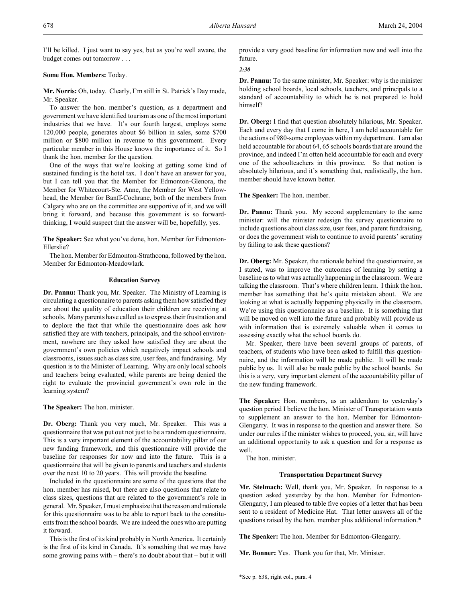I'll be killed. I just want to say yes, but as you're well aware, the budget comes out tomorrow . . .

## **Some Hon. Members:** Today.

**Mr. Norris:** Oh, today. Clearly, I'm still in St. Patrick's Day mode, Mr. Speaker.

To answer the hon. member's question, as a department and government we have identified tourism as one of the most important industries that we have. It's our fourth largest, employs some 120,000 people, generates about \$6 billion in sales, some \$700 million or \$800 million in revenue to this government. Every particular member in this House knows the importance of it. So I thank the hon. member for the question.

One of the ways that we're looking at getting some kind of sustained funding is the hotel tax. I don't have an answer for you, but I can tell you that the Member for Edmonton-Glenora, the Member for Whitecourt-Ste. Anne, the Member for West Yellowhead, the Member for Banff-Cochrane, both of the members from Calgary who are on the committee are supportive of it, and we will bring it forward, and because this government is so forwardthinking, I would suspect that the answer will be, hopefully, yes.

**The Speaker:** See what you've done, hon. Member for Edmonton-Ellerslie?

The hon. Member for Edmonton-Strathcona, followed by the hon. Member for Edmonton-Meadowlark.

## **Education Survey**

**Dr. Pannu:** Thank you, Mr. Speaker. The Ministry of Learning is circulating a questionnaire to parents asking them how satisfied they are about the quality of education their children are receiving at schools. Many parents have called us to express their frustration and to deplore the fact that while the questionnaire does ask how satisfied they are with teachers, principals, and the school environment, nowhere are they asked how satisfied they are about the government's own policies which negatively impact schools and classrooms, issues such as class size, user fees, and fundraising. My question is to the Minister of Learning. Why are only local schools and teachers being evaluated, while parents are being denied the right to evaluate the provincial government's own role in the learning system?

**The Speaker:** The hon. minister.

**Dr. Oberg:** Thank you very much, Mr. Speaker. This was a questionnaire that was put out not just to be a random questionnaire. This is a very important element of the accountability pillar of our new funding framework, and this questionnaire will provide the baseline for responses for now and into the future. This is a questionnaire that will be given to parents and teachers and students over the next 10 to 20 years. This will provide the baseline.

Included in the questionnaire are some of the questions that the hon. member has raised, but there are also questions that relate to class sizes, questions that are related to the government's role in general. Mr. Speaker, I must emphasize that the reason and rationale for this questionnaire was to be able to report back to the constituents from the school boards. We are indeed the ones who are putting it forward.

This is the first of its kind probably in North America. It certainly is the first of its kind in Canada. It's something that we may have some growing pains with – there's no doubt about that – but it will

provide a very good baseline for information now and well into the future.

## *2:30*

**Dr. Pannu:** To the same minister, Mr. Speaker: why is the minister holding school boards, local schools, teachers, and principals to a standard of accountability to which he is not prepared to hold himself?

**Dr. Oberg:** I find that question absolutely hilarious, Mr. Speaker. Each and every day that I come in here, I am held accountable for the actions of 980-some employees within my department. I am also held accountable for about 64, 65 schools boards that are around the province, and indeed I'm often held accountable for each and every one of the schoolteachers in this province. So that notion is absolutely hilarious, and it's something that, realistically, the hon. member should have known better.

**The Speaker:** The hon. member.

**Dr. Pannu:** Thank you. My second supplementary to the same minister: will the minister redesign the survey questionnaire to include questions about class size, user fees, and parent fundraising, or does the government wish to continue to avoid parents' scrutiny by failing to ask these questions?

**Dr. Oberg:** Mr. Speaker, the rationale behind the questionnaire, as I stated, was to improve the outcomes of learning by setting a baseline as to what was actually happening in the classroom. We are talking the classroom. That's where children learn. I think the hon. member has something that he's quite mistaken about. We are looking at what is actually happening physically in the classroom. We're using this questionnaire as a baseline. It is something that will be moved on well into the future and probably will provide us with information that is extremely valuable when it comes to assessing exactly what the school boards do.

Mr. Speaker, there have been several groups of parents, of teachers, of students who have been asked to fulfill this questionnaire, and the information will be made public. It will be made public by us. It will also be made public by the school boards. So this is a very, very important element of the accountability pillar of the new funding framework.

**The Speaker:** Hon. members, as an addendum to yesterday's question period I believe the hon. Minister of Transportation wants to supplement an answer to the hon. Member for Edmonton-Glengarry. It was in response to the question and answer there. So under our rules if the minister wishes to proceed, you, sir, will have an additional opportunity to ask a question and for a response as well.

The hon. minister.

## **Transportation Department Survey**

**Mr. Stelmach:** Well, thank you, Mr. Speaker. In response to a question asked yesterday by the hon. Member for Edmonton-Glengarry, I am pleased to table five copies of a letter that has been sent to a resident of Medicine Hat. That letter answers all of the questions raised by the hon. member plus additional information.\*

**The Speaker:** The hon. Member for Edmonton-Glengarry.

**Mr. Bonner:** Yes. Thank you for that, Mr. Minister.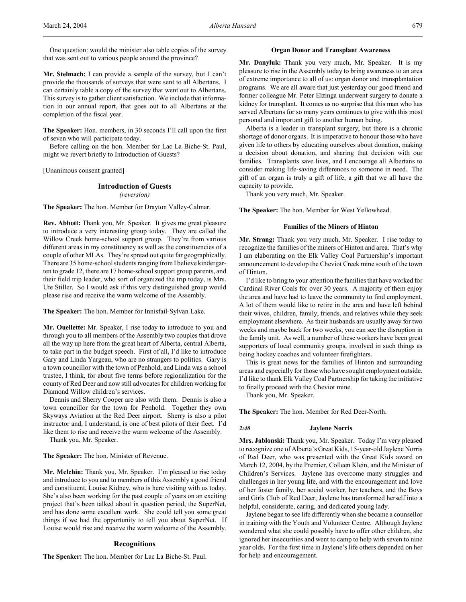One question: would the minister also table copies of the survey that was sent out to various people around the province?

**Mr. Stelmach:** I can provide a sample of the survey, but I can't provide the thousands of surveys that were sent to all Albertans. I can certainly table a copy of the survey that went out to Albertans. This survey is to gather client satisfaction. We include that information in our annual report, that goes out to all Albertans at the completion of the fiscal year.

**The Speaker:** Hon. members, in 30 seconds I'll call upon the first of seven who will participate today.

Before calling on the hon. Member for Lac La Biche-St. Paul, might we revert briefly to Introduction of Guests?

[Unanimous consent granted]

## **Introduction of Guests**

*(reversion)*

**The Speaker:** The hon. Member for Drayton Valley-Calmar.

**Rev. Abbott:** Thank you, Mr. Speaker. It gives me great pleasure to introduce a very interesting group today. They are called the Willow Creek home-school support group. They're from various different areas in my constituency as well as the constituencies of a couple of other MLAs. They're spread out quite far geographically. There are 35 home-school students ranging from I believe kindergarten to grade 12, there are 17 home-school support group parents, and their field trip leader, who sort of organized the trip today, is Mrs. Ute Stiller. So I would ask if this very distinguished group would please rise and receive the warm welcome of the Assembly.

**The Speaker:** The hon. Member for Innisfail-Sylvan Lake.

**Mr. Ouellette:** Mr. Speaker, I rise today to introduce to you and through you to all members of the Assembly two couples that drove all the way up here from the great heart of Alberta, central Alberta, to take part in the budget speech. First of all, I'd like to introduce Gary and Linda Yargeau, who are no strangers to politics. Gary is a town councillor with the town of Penhold, and Linda was a school trustee, I think, for about five terms before regionalization for the county of Red Deer and now still advocates for children working for Diamond Willow children's services.

Dennis and Sherry Cooper are also with them. Dennis is also a town councillor for the town for Penhold. Together they own Skyways Aviation at the Red Deer airport. Sherry is also a pilot instructor and, I understand, is one of best pilots of their fleet. I'd like them to rise and receive the warm welcome of the Assembly.

Thank you, Mr. Speaker.

**The Speaker:** The hon. Minister of Revenue.

**Mr. Melchin:** Thank you, Mr. Speaker. I'm pleased to rise today and introduce to you and to members of this Assembly a good friend and constituent, Louise Kidney, who is here visiting with us today. She's also been working for the past couple of years on an exciting project that's been talked about in question period, the SuperNet, and has done some excellent work. She could tell you some great things if we had the opportunity to tell you about SuperNet. If Louise would rise and receive the warm welcome of the Assembly.

### **Recognitions**

**The Speaker:** The hon. Member for Lac La Biche-St. Paul.

### **Organ Donor and Transplant Awareness**

**Mr. Danyluk:** Thank you very much, Mr. Speaker. It is my pleasure to rise in the Assembly today to bring awareness to an area of extreme importance to all of us: organ donor and transplantation programs. We are all aware that just yesterday our good friend and former colleague Mr. Peter Elzinga underwent surgery to donate a kidney for transplant. It comes as no surprise that this man who has served Albertans for so many years continues to give with this most personal and important gift to another human being.

Alberta is a leader in transplant surgery, but there is a chronic shortage of donor organs. It is imperative to honour those who have given life to others by educating ourselves about donation, making a decision about donation, and sharing that decision with our families. Transplants save lives, and I encourage all Albertans to consider making life-saving differences to someone in need. The gift of an organ is truly a gift of life, a gift that we all have the capacity to provide.

Thank you very much, Mr. Speaker.

**The Speaker:** The hon. Member for West Yellowhead.

## **Families of the Miners of Hinton**

**Mr. Strang:** Thank you very much, Mr. Speaker. I rise today to recognize the families of the miners of Hinton and area. That's why I am elaborating on the Elk Valley Coal Partnership's important announcement to develop the Cheviot Creek mine south of the town of Hinton.

I'd like to bring to your attention the families that have worked for Cardinal River Coals for over 30 years. A majority of them enjoy the area and have had to leave the community to find employment. A lot of them would like to retire in the area and have left behind their wives, children, family, friends, and relatives while they seek employment elsewhere. As their husbands are usually away for two weeks and maybe back for two weeks, you can see the disruption in the family unit. As well, a number of these workers have been great supporters of local community groups, involved in such things as being hockey coaches and volunteer firefighters.

This is great news for the families of Hinton and surrounding areas and especially for those who have sought employment outside. I'd like to thank Elk Valley Coal Partnership for taking the initiative to finally proceed with the Cheviot mine.

Thank you, Mr. Speaker.

**The Speaker:** The hon. Member for Red Deer-North.

#### *2:40* **Jaylene Norris**

**Mrs. Jablonski:** Thank you, Mr. Speaker. Today I'm very pleased to recognize one of Alberta's Great Kids, 15-year-old Jaylene Norris of Red Deer, who was presented with the Great Kids award on March 12, 2004, by the Premier, Colleen Klein, and the Minister of Children's Services. Jaylene has overcome many struggles and challenges in her young life, and with the encouragement and love of her foster family, her social worker, her teachers, and the Boys and Girls Club of Red Deer, Jaylene has transformed herself into a helpful, considerate, caring, and dedicated young lady.

Jaylene began to see life differently when she became a counsellor in training with the Youth and Volunteer Centre. Although Jaylene wondered what she could possibly have to offer other children, she ignored her insecurities and went to camp to help with seven to nine year olds. For the first time in Jaylene's life others depended on her for help and encouragement.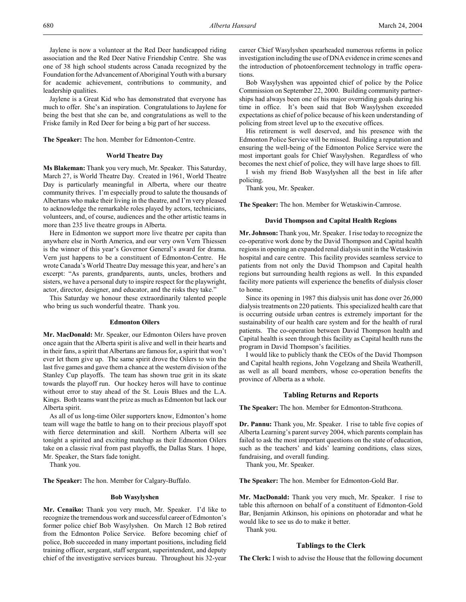Jaylene is now a volunteer at the Red Deer handicapped riding association and the Red Deer Native Friendship Centre. She was one of 38 high school students across Canada recognized by the Foundation for the Advancement of Aboriginal Youth with a bursary for academic achievement, contributions to community, and leadership qualities.

Jaylene is a Great Kid who has demonstrated that everyone has much to offer. She's an inspiration. Congratulations to Jaylene for being the best that she can be, and congratulations as well to the Friske family in Red Deer for being a big part of her success.

**The Speaker:** The hon. Member for Edmonton-Centre.

#### **World Theatre Day**

**Ms Blakeman:** Thank you very much, Mr. Speaker. This Saturday, March 27, is World Theatre Day. Created in 1961, World Theatre Day is particularly meaningful in Alberta, where our theatre community thrives. I'm especially proud to salute the thousands of Albertans who make their living in the theatre, and I'm very pleased to acknowledge the remarkable roles played by actors, technicians, volunteers, and, of course, audiences and the other artistic teams in more than 235 live theatre groups in Alberta.

Here in Edmonton we support more live theatre per capita than anywhere else in North America, and our very own Vern Thiessen is the winner of this year's Governor General's award for drama. Vern just happens to be a constituent of Edmonton-Centre. He wrote Canada's World Theatre Day message this year, and here's an excerpt: "As parents, grandparents, aunts, uncles, brothers and sisters, we have a personal duty to inspire respect for the playwright, actor, director, designer, and educator, and the risks they take."

This Saturday we honour these extraordinarily talented people who bring us such wonderful theatre. Thank you.

#### **Edmonton Oilers**

**Mr. MacDonald:** Mr. Speaker, our Edmonton Oilers have proven once again that the Alberta spirit is alive and well in their hearts and in their fans, a spirit that Albertans are famous for, a spirit that won't ever let them give up. The same spirit drove the Oilers to win the last five games and gave them a chance at the western division of the Stanley Cup playoffs. The team has shown true grit in its skate towards the playoff run. Our hockey heros will have to continue without error to stay ahead of the St. Louis Blues and the L.A. Kings. Both teams want the prize as much as Edmonton but lack our Alberta spirit.

As all of us long-time Oiler supporters know, Edmonton's home team will wage the battle to hang on to their precious playoff spot with fierce determination and skill. Northern Alberta will see tonight a spirited and exciting matchup as their Edmonton Oilers take on a classic rival from past playoffs, the Dallas Stars. I hope, Mr. Speaker, the Stars fade tonight.

Thank you.

**The Speaker:** The hon. Member for Calgary-Buffalo.

### **Bob Wasylyshen**

**Mr. Cenaiko:** Thank you very much, Mr. Speaker. I'd like to recognize the tremendous work and successful career of Edmonton's former police chief Bob Wasylyshen. On March 12 Bob retired from the Edmonton Police Service. Before becoming chief of police, Bob succeeded in many important positions, including field training officer, sergeant, staff sergeant, superintendent, and deputy chief of the investigative services bureau. Throughout his 32-year

career Chief Wasylyshen spearheaded numerous reforms in police investigation including the use of DNA evidence in crime scenes and the introduction of photoenforcement technology in traffic operations.

Bob Wasylyshen was appointed chief of police by the Police Commission on September 22, 2000. Building community partnerships had always been one of his major overriding goals during his time in office. It's been said that Bob Wasylyshen exceeded expectations as chief of police because of his keen understanding of policing from street level up to the executive offices.

His retirement is well deserved, and his presence with the Edmonton Police Service will be missed. Building a reputation and ensuring the well-being of the Edmonton Police Service were the most important goals for Chief Wasylyshen. Regardless of who becomes the next chief of police, they will have large shoes to fill.

I wish my friend Bob Wasylyshen all the best in life after policing.

Thank you, Mr. Speaker.

**The Speaker:** The hon. Member for Wetaskiwin-Camrose.

## **David Thompson and Capital Health Regions**

**Mr. Johnson:** Thank you, Mr. Speaker. I rise today to recognize the co-operative work done by the David Thompson and Capital health regions in opening an expanded renal dialysis unit in the Wetaskiwin hospital and care centre. This facility provides seamless service to patients from not only the David Thompson and Capital health regions but surrounding health regions as well. In this expanded facility more patients will experience the benefits of dialysis closer to home.

Since its opening in 1987 this dialysis unit has done over 26,000 dialysis treatments on 220 patients. This specialized health care that is occurring outside urban centres is extremely important for the sustainability of our health care system and for the health of rural patients. The co-operation between David Thompson health and Capital health is seen through this facility as Capital health runs the program in David Thompson's facilities.

I would like to publicly thank the CEOs of the David Thompson and Capital health regions, John Vogelzang and Sheila Weatherill, as well as all board members, whose co-operation benefits the province of Alberta as a whole.

### **Tabling Returns and Reports**

**The Speaker:** The hon. Member for Edmonton-Strathcona.

**Dr. Pannu:** Thank you, Mr. Speaker. I rise to table five copies of Alberta Learning's parent survey 2004, which parents complain has failed to ask the most important questions on the state of education, such as the teachers' and kids' learning conditions, class sizes, fundraising, and overall funding.

Thank you, Mr. Speaker.

**The Speaker:** The hon. Member for Edmonton-Gold Bar.

**Mr. MacDonald:** Thank you very much, Mr. Speaker. I rise to table this afternoon on behalf of a constituent of Edmonton-Gold Bar, Benjamin Atkinson, his opinions on photoradar and what he would like to see us do to make it better.

Thank you.

#### **Tablings to the Clerk**

**The Clerk:** I wish to advise the House that the following document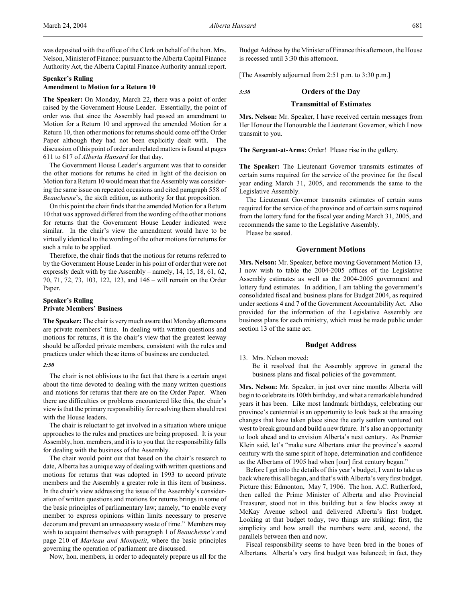was deposited with the office of the Clerk on behalf of the hon. Mrs. Nelson, Minister of Finance: pursuant to the Alberta Capital Finance Authority Act, the Alberta Capital Finance Authority annual report.

## **Speaker's Ruling Amendment to Motion for a Return 10**

**The Speaker:** On Monday, March 22, there was a point of order raised by the Government House Leader. Essentially, the point of order was that since the Assembly had passed an amendment to Motion for a Return 10 and approved the amended Motion for a Return 10, then other motions for returns should come off the Order Paper although they had not been explicitly dealt with. The discussion of this point of order and related matters is found at pages 611 to 617 of *Alberta Hansard* for that day.

The Government House Leader's argument was that to consider the other motions for returns he cited in light of the decision on Motion for a Return 10 would mean that the Assembly was considering the same issue on repeated occasions and cited paragraph 558 of *Beauchesne*'s, the sixth edition, as authority for that proposition.

On this point the chair finds that the amended Motion for a Return 10 that was approved differed from the wording of the other motions for returns that the Government House Leader indicated were similar. In the chair's view the amendment would have to be virtually identical to the wording of the other motions for returns for such a rule to be applied.

Therefore, the chair finds that the motions for returns referred to by the Government House Leader in his point of order that were not expressly dealt with by the Assembly – namely, 14, 15, 18, 61, 62, 70, 71, 72, 73, 103, 122, 123, and 146 – will remain on the Order Paper.

## **Speaker's Ruling Private Members' Business**

**The Speaker:** The chair is very much aware that Monday afternoons are private members' time. In dealing with written questions and motions for returns, it is the chair's view that the greatest leeway should be afforded private members, consistent with the rules and practices under which these items of business are conducted.

## *2:50*

The chair is not oblivious to the fact that there is a certain angst about the time devoted to dealing with the many written questions and motions for returns that there are on the Order Paper. When there are difficulties or problems encountered like this, the chair's view is that the primary responsibility for resolving them should rest with the House leaders.

The chair is reluctant to get involved in a situation where unique approaches to the rules and practices are being proposed. It is your Assembly, hon. members, and it is to you that the responsibility falls for dealing with the business of the Assembly.

The chair would point out that based on the chair's research to date, Alberta has a unique way of dealing with written questions and motions for returns that was adopted in 1993 to accord private members and the Assembly a greater role in this item of business. In the chair's view addressing the issue of the Assembly's consideration of written questions and motions for returns brings in some of the basic principles of parliamentary law; namely, "to enable every member to express opinions within limits necessary to preserve decorum and prevent an unnecessary waste of time." Members may wish to acquaint themselves with paragraph 1 of *Beauchesne's* and page 210 of *Marleau and Montpetit*, where the basic principles governing the operation of parliament are discussed.

Now, hon. members, in order to adequately prepare us all for the

Budget Address by the Minister of Finance this afternoon, the House is recessed until 3:30 this afternoon.

[The Assembly adjourned from 2:51 p.m. to 3:30 p.m.]

# *3:30* head: **Orders of the Day Transmittal of Estimates**

**Mrs. Nelson:** Mr. Speaker, I have received certain messages from Her Honour the Honourable the Lieutenant Governor, which I now transmit to you.

**The Sergeant-at-Arms:** Order! Please rise in the gallery.

**The Speaker:** The Lieutenant Governor transmits estimates of certain sums required for the service of the province for the fiscal year ending March 31, 2005, and recommends the same to the Legislative Assembly.

The Lieutenant Governor transmits estimates of certain sums required for the service of the province and of certain sums required from the lottery fund for the fiscal year ending March 31, 2005, and recommends the same to the Legislative Assembly.

Please be seated.

## **Government Motions**

**Mrs. Nelson:** Mr. Speaker, before moving Government Motion 13, I now wish to table the 2004-2005 offices of the Legislative Assembly estimates as well as the 2004-2005 government and lottery fund estimates. In addition, I am tabling the government's consolidated fiscal and business plans for Budget 2004, as required under sections 4 and 7 of the Government Accountability Act. Also provided for the information of the Legislative Assembly are business plans for each ministry, which must be made public under section 13 of the same act.

### **Budget Address**

13. Mrs. Nelson moved: Be it resolved that the Assembly approve in general the business plans and fiscal policies of the government.

**Mrs. Nelson:** Mr. Speaker, in just over nine months Alberta will begin to celebrate its 100th birthday, and what a remarkable hundred years it has been. Like most landmark birthdays, celebrating our province's centennial is an opportunity to look back at the amazing changes that have taken place since the early settlers ventured out west to break ground and build a new future. It's also an opportunity to look ahead and to envision Alberta's next century. As Premier Klein said, let's "make sure Albertans enter the province's second century with the same spirit of hope, determination and confidence as the Albertans of 1905 had when [our] first century began."

Before I get into the details of this year's budget, I want to take us back where this all began, and that's with Alberta's very first budget. Picture this: Edmonton, May 7, 1906. The hon. A.C. Rutherford, then called the Prime Minister of Alberta and also Provincial Treasurer, stood not in this building but a few blocks away at McKay Avenue school and delivered Alberta's first budget. Looking at that budget today, two things are striking: first, the simplicity and how small the numbers were and, second, the parallels between then and now.

Fiscal responsibility seems to have been bred in the bones of Albertans. Alberta's very first budget was balanced; in fact, they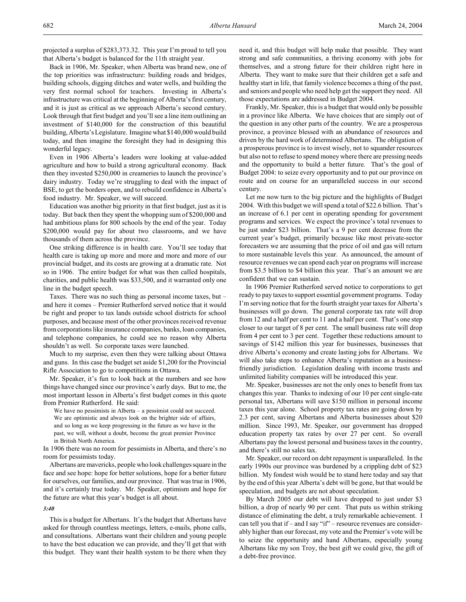Back in 1906, Mr. Speaker, when Alberta was brand new, one of the top priorities was infrastructure: building roads and bridges, building schools, digging ditches and water wells, and building the very first normal school for teachers. Investing in Alberta's infrastructure was critical at the beginning of Alberta's first century, and it is just as critical as we approach Alberta's second century. Look through that first budget and you'll see a line item outlining an investment of \$140,000 for the construction of this beautiful building, Alberta's Legislature. Imagine what \$140,000 would build today, and then imagine the foresight they had in designing this wonderful legacy.

Even in 1906 Alberta's leaders were looking at value-added agriculture and how to build a strong agricultural economy. Back then they invested \$250,000 in creameries to launch the province's dairy industry. Today we're struggling to deal with the impact of BSE, to get the borders open, and to rebuild confidence in Alberta's food industry. Mr. Speaker, we will succeed.

Education was another big priority in that first budget, just as it is today. But back then they spent the whopping sum of \$200,000 and had ambitious plans for 800 schools by the end of the year. Today \$200,000 would pay for about two classrooms, and we have thousands of them across the province.

One striking difference is in health care. You'll see today that health care is taking up more and more and more and more of our provincial budget, and its costs are growing at a dramatic rate. Not so in 1906. The entire budget for what was then called hospitals, charities, and public health was \$33,500, and it warranted only one line in the budget speech.

Taxes. There was no such thing as personal income taxes, but – and here it comes – Premier Rutherford served notice that it would be right and proper to tax lands outside school districts for school purposes, and because most of the other provinces received revenue from corporations like insurance companies, banks, loan companies, and telephone companies, he could see no reason why Alberta shouldn't as well. So corporate taxes were launched.

Much to my surprise, even then they were talking about Ottawa and guns. In this case the budget set aside \$1,200 for the Provincial Rifle Association to go to competitions in Ottawa.

Mr. Speaker, it's fun to look back at the numbers and see how things have changed since our province's early days. But to me, the most important lesson in Alberta's first budget comes in this quote from Premier Rutherford. He said:

We have no pessimists in Alberta – a pessimist could not succeed. We are optimistic and always look on the brighter side of affairs, and so long as we keep progressing in the future as we have in the past, we will, without a doubt, become the great premier Province in British North America.

In 1906 there was no room for pessimists in Alberta, and there's no room for pessimists today.

Albertans are mavericks, people who look challenges square in the face and see hope: hope for better solutions, hope for a better future for ourselves, our families, and our province. That was true in 1906, and it's certainly true today. Mr. Speaker, optimism and hope for the future are what this year's budget is all about.

#### *3:40*

This is a budget for Albertans. It's the budget that Albertans have asked for through countless meetings, letters, e-mails, phone calls, and consultations. Albertans want their children and young people to have the best education we can provide, and they'll get that with this budget. They want their health system to be there when they

need it, and this budget will help make that possible. They want strong and safe communities, a thriving economy with jobs for themselves, and a strong future for their children right here in Alberta. They want to make sure that their children get a safe and healthy start in life, that family violence becomes a thing of the past, and seniors and people who need help get the support they need. All those expectations are addressed in Budget 2004.

Frankly, Mr. Speaker, this is a budget that would only be possible in a province like Alberta. We have choices that are simply out of the question in any other parts of the country. We are a prosperous province, a province blessed with an abundance of resources and driven by the hard work of determined Albertans. The obligation of a prosperous province is to invest wisely, not to squander resources but also not to refuse to spend money where there are pressing needs and the opportunity to build a better future. That's the goal of Budget 2004: to seize every opportunity and to put our province on route and on course for an unparalleled success in our second century.

Let me now turn to the big picture and the highlights of Budget 2004. With this budget we will spend a total of \$22.6 billion. That's an increase of 6.1 per cent in operating spending for government programs and services. We expect the province's total revenues to be just under \$23 billion. That's a 9 per cent decrease from the current year's budget, primarily because like most private-sector forecasters we are assuming that the price of oil and gas will return to more sustainable levels this year. As announced, the amount of resource revenues we can spend each year on programs will increase from \$3.5 billion to \$4 billion this year. That's an amount we are confident that we can sustain.

In 1906 Premier Rutherford served notice to corporations to get ready to pay taxes to support essential government programs. Today I'm serving notice that for the fourth straight year taxes for Alberta's businesses will go down. The general corporate tax rate will drop from 12 and a half per cent to 11 and a half per cent. That's one step closer to our target of 8 per cent. The small business rate will drop from 4 per cent to 3 per cent. Together these reductions amount to savings of \$142 million this year for businesses, businesses that drive Alberta's economy and create lasting jobs for Albertans. We will also take steps to enhance Alberta's reputation as a businessfriendly jurisdiction. Legislation dealing with income trusts and unlimited liability companies will be introduced this year.

Mr. Speaker, businesses are not the only ones to benefit from tax changes this year. Thanks to indexing of our 10 per cent single-rate personal tax, Albertans will save \$150 million in personal income taxes this year alone. School property tax rates are going down by 2.3 per cent, saving Albertans and Alberta businesses about \$20 million. Since 1993, Mr. Speaker, our government has dropped education property tax rates by over 27 per cent. So overall Albertans pay the lowest personal and business taxes in the country, and there's still no sales tax.

Mr. Speaker, our record on debt repayment is unparalleled. In the early 1990s our province was burdened by a crippling debt of \$23 billion. My fondest wish would be to stand here today and say that by the end of this year Alberta's debt will be gone, but that would be speculation, and budgets are not about speculation.

By March 2005 our debt will have dropped to just under \$3 billion, a drop of nearly 90 per cent. That puts us within striking distance of eliminating the debt, a truly remarkable achievement. I can tell you that if – and I say "if" – resource revenues are considerably higher than our forecast, my vote and the Premier's vote will be to seize the opportunity and hand Albertans, especially young Albertans like my son Troy, the best gift we could give, the gift of a debt-free province.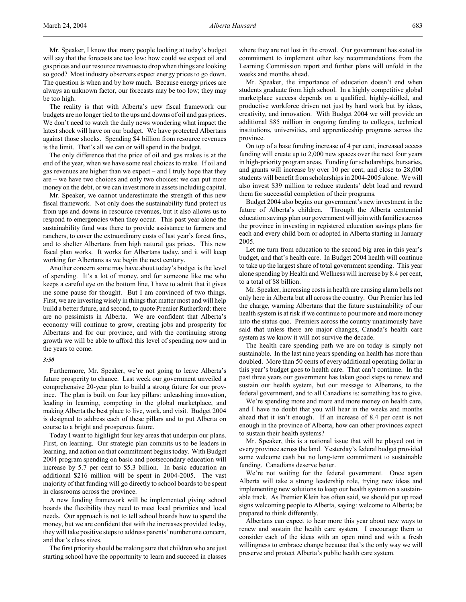Mr. Speaker, I know that many people looking at today's budget will say that the forecasts are too low: how could we expect oil and gas prices and our resource revenues to drop when things are looking so good? Most industry observers expect energy prices to go down. The question is when and by how much. Because energy prices are always an unknown factor, our forecasts may be too low; they may be too high.

The reality is that with Alberta's new fiscal framework our budgets are no longer tied to the ups and downs of oil and gas prices. We don't need to watch the daily news wondering what impact the latest shock will have on our budget. We have protected Albertans against those shocks. Spending \$4 billion from resource revenues is the limit. That's all we can or will spend in the budget.

The only difference that the price of oil and gas makes is at the end of the year, when we have some real choices to make. If oil and gas revenues are higher than we expect – and I truly hope that they are – we have two choices and only two choices: we can put more money on the debt, or we can invest more in assets including capital.

Mr. Speaker, we cannot underestimate the strength of this new fiscal framework. Not only does the sustainability fund protect us from ups and downs in resource revenues, but it also allows us to respond to emergencies when they occur. This past year alone the sustainability fund was there to provide assistance to farmers and ranchers, to cover the extraordinary costs of last year's forest fires, and to shelter Albertans from high natural gas prices. This new fiscal plan works. It works for Albertans today, and it will keep working for Albertans as we begin the next century.

Another concern some may have about today's budget is the level of spending. It's a lot of money, and for someone like me who keeps a careful eye on the bottom line, I have to admit that it gives me some pause for thought. But I am convinced of two things. First, we are investing wisely in things that matter most and will help build a better future, and second, to quote Premier Rutherford: there are no pessimists in Alberta. We are confident that Alberta's economy will continue to grow, creating jobs and prosperity for Albertans and for our province, and with the continuing strong growth we will be able to afford this level of spending now and in the years to come.

#### *3:50*

Furthermore, Mr. Speaker, we're not going to leave Alberta's future prosperity to chance. Last week our government unveiled a comprehensive 20-year plan to build a strong future for our province. The plan is built on four key pillars: unleashing innovation, leading in learning, competing in the global marketplace, and making Alberta the best place to live, work, and visit. Budget 2004 is designed to address each of these pillars and to put Alberta on course to a bright and prosperous future.

Today I want to highlight four key areas that underpin our plans. First, on learning. Our strategic plan commits us to be leaders in learning, and action on that commitment begins today. With Budget 2004 program spending on basic and postsecondary education will increase by 5.7 per cent to \$5.3 billion. In basic education an additional \$216 million will be spent in 2004-2005. The vast majority of that funding will go directly to school boards to be spent in classrooms across the province.

A new funding framework will be implemented giving school boards the flexibility they need to meet local priorities and local needs. Our approach is not to tell school boards how to spend the money, but we are confident that with the increases provided today, they will take positive steps to address parents' number one concern, and that's class sizes.

The first priority should be making sure that children who are just starting school have the opportunity to learn and succeed in classes where they are not lost in the crowd. Our government has stated its commitment to implement other key recommendations from the Learning Commission report and further plans will unfold in the weeks and months ahead.

Mr. Speaker, the importance of education doesn't end when students graduate from high school. In a highly competitive global marketplace success depends on a qualified, highly-skilled, and productive workforce driven not just by hard work but by ideas, creativity, and innovation. With Budget 2004 we will provide an additional \$85 million in ongoing funding to colleges, technical institutions, universities, and apprenticeship programs across the province.

On top of a base funding increase of 4 per cent, increased access funding will create up to 2,000 new spaces over the next four years in high-priority program areas. Funding for scholarships, bursaries, and grants will increase by over 10 per cent, and close to 28,000 students will benefit from scholarships in 2004-2005 alone. We will also invest \$39 million to reduce students' debt load and reward them for successful completion of their programs.

Budget 2004 also begins our government's new investment in the future of Alberta's children. Through the Alberta centennial education savings plan our government will join with families across the province in investing in registered education savings plans for each and every child born or adopted in Alberta starting in January 2005.

Let me turn from education to the second big area in this year's budget, and that's health care. In Budget 2004 health will continue to take up the largest share of total government spending. This year alone spending by Health and Wellness will increase by 8.4 per cent, to a total of \$8 billion.

Mr. Speaker, increasing costs in health are causing alarm bells not only here in Alberta but all across the country. Our Premier has led the charge, warning Albertans that the future sustainability of our health system is at risk if we continue to pour more and more money into the status quo. Premiers across the country unanimously have said that unless there are major changes, Canada's health care system as we know it will not survive the decade.

The health care spending path we are on today is simply not sustainable. In the last nine years spending on health has more than doubled. More than 50 cents of every additional operating dollar in this year's budget goes to health care. That can't continue. In the past three years our government has taken good steps to renew and sustain our health system, but our message to Albertans, to the federal government, and to all Canadians is: something has to give.

We're spending more and more and more money on health care, and I have no doubt that you will hear in the weeks and months ahead that it isn't enough. If an increase of 8.4 per cent is not enough in the province of Alberta, how can other provinces expect to sustain their health systems?

Mr. Speaker, this is a national issue that will be played out in every province across the land. Yesterday's federal budget provided some welcome cash but no long-term commitment to sustainable funding. Canadians deserve better.

We're not waiting for the federal government. Once again Alberta will take a strong leadership role, trying new ideas and implementing new solutions to keep our health system on a sustainable track. As Premier Klein has often said, we should put up road signs welcoming people to Alberta, saying: welcome to Alberta; be prepared to think differently.

Albertans can expect to hear more this year about new ways to renew and sustain the health care system. I encourage them to consider each of the ideas with an open mind and with a fresh willingness to embrace change because that's the only way we will preserve and protect Alberta's public health care system.